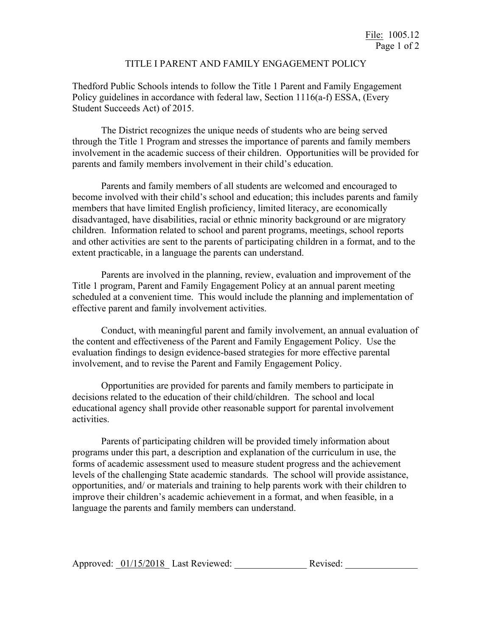## TITLE I PARENT AND FAMILY ENGAGEMENT POLICY

Thedford Public Schools intends to follow the Title 1 Parent and Family Engagement Policy guidelines in accordance with federal law, Section 1116(a-f) ESSA, (Every Student Succeeds Act) of 2015.

The District recognizes the unique needs of students who are being served through the Title 1 Program and stresses the importance of parents and family members involvement in the academic success of their children. Opportunities will be provided for parents and family members involvement in their child's education.

Parents and family members of all students are welcomed and encouraged to become involved with their child's school and education; this includes parents and family members that have limited English proficiency, limited literacy, are economically disadvantaged, have disabilities, racial or ethnic minority background or are migratory children. Information related to school and parent programs, meetings, school reports and other activities are sent to the parents of participating children in a format, and to the extent practicable, in a language the parents can understand.

Parents are involved in the planning, review, evaluation and improvement of the Title 1 program, Parent and Family Engagement Policy at an annual parent meeting scheduled at a convenient time. This would include the planning and implementation of effective parent and family involvement activities.

Conduct, with meaningful parent and family involvement, an annual evaluation of the content and effectiveness of the Parent and Family Engagement Policy. Use the evaluation findings to design evidence-based strategies for more effective parental involvement, and to revise the Parent and Family Engagement Policy.

Opportunities are provided for parents and family members to participate in decisions related to the education of their child/children. The school and local educational agency shall provide other reasonable support for parental involvement activities.

Parents of participating children will be provided timely information about programs under this part, a description and explanation of the curriculum in use, the forms of academic assessment used to measure student progress and the achievement levels of the challenging State academic standards. The school will provide assistance, opportunities, and/ or materials and training to help parents work with their children to improve their children's academic achievement in a format, and when feasible, in a language the parents and family members can understand.

| Approved: 01/15/2018 Last Reviewed:<br>Revised: |  |
|-------------------------------------------------|--|
|-------------------------------------------------|--|